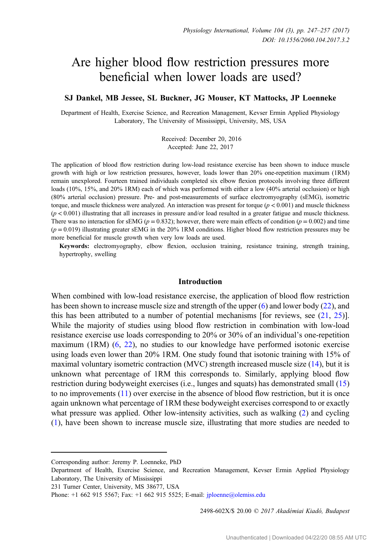# Are higher blood flow restriction pressures more beneficial when lower loads are used?

SJ Dankel, MB Jessee, SL Buckner, JG Mouser, KT Mattocks, JP Loenneke

Department of Health, Exercise Science, and Recreation Management, Kevser Ermin Applied Physiology Laboratory, The University of Mississippi, University, MS, USA

> Received: December 20, 2016 Accepted: June 22, 2017

The application of blood flow restriction during low-load resistance exercise has been shown to induce muscle growth with high or low restriction pressures, however, loads lower than 20% one-repetition maximum (1RM) remain unexplored. Fourteen trained individuals completed six elbow flexion protocols involving three different loads (10%, 15%, and 20% 1RM) each of which was performed with either a low (40% arterial occlusion) or high (80% arterial occlusion) pressure. Pre- and post-measurements of surface electromyography (sEMG), isometric torque, and muscle thickness were analyzed. An interaction was present for torque  $(p < 0.001)$  and muscle thickness  $(p < 0.001)$  illustrating that all increases in pressure and/or load resulted in a greater fatigue and muscle thickness. There was no interaction for sEMG ( $p = 0.832$ ); however, there were main effects of condition ( $p = 0.002$ ) and time  $(p = 0.019)$  illustrating greater sEMG in the 20% 1RM conditions. Higher blood flow restriction pressures may be more beneficial for muscle growth when very low loads are used.

Keywords: electromyography, elbow flexion, occlusion training, resistance training, strength training, hypertrophy, swelling

## Introduction

When combined with low-load resistance exercise, the application of blood flow restriction has been shown to increase muscle size and strength of the upper [\(6](#page-9-0)) and lower body ([22\)](#page-9-0), and this has been attributed to a number of potential mechanisms [for reviews, see ([21,](#page-9-0) [25](#page-9-0))]. While the majority of studies using blood flow restriction in combination with low-load resistance exercise use loads corresponding to 20% or 30% of an individual's one-repetition maximum (1RM) [\(6](#page-9-0), [22\)](#page-9-0), no studies to our knowledge have performed isotonic exercise using loads even lower than 20% 1RM. One study found that isotonic training with 15% of maximal voluntary isometric contraction (MVC) strength increased muscle size ([14\)](#page-9-0), but it is unknown what percentage of 1RM this corresponds to. Similarly, applying blood flow restriction during bodyweight exercises (i.e., lunges and squats) has demonstrated small ([15\)](#page-9-0) to no improvements [\(11](#page-9-0)) over exercise in the absence of blood flow restriction, but it is once again unknown what percentage of 1RM these bodyweight exercises correspond to or exactly what pressure was applied. Other low-intensity activities, such as walking [\(2](#page-8-0)) and cycling [\(1](#page-8-0)), have been shown to increase muscle size, illustrating that more studies are needed to

2498-602X/\$ 20.00 C 2017 Akadémiai Kiadó, Budapest

Corresponding author: Jeremy P. Loenneke, PhD

Department of Health, Exercise Science, and Recreation Management, Kevser Ermin Applied Physiology Laboratory, The University of Mississippi

<sup>231</sup> Turner Center, University, MS 38677, USA

Phone: +1 662 915 5567; Fax: +1 662 915 5525; E-mail: *[jploenne@olemiss.edu](mailto:jploenne@olemiss.edu)*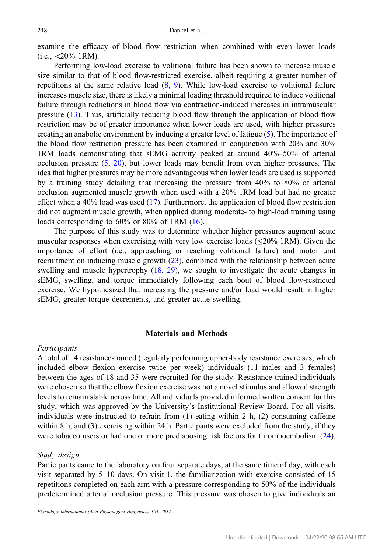examine the efficacy of blood flow restriction when combined with even lower loads  $(i.e.,  $\langle 20\% \text{ 1RM} \rangle$ .$ 

Performing low-load exercise to volitional failure has been shown to increase muscle size similar to that of blood flow-restricted exercise, albeit requiring a greater number of repetitions at the same relative load [\(8](#page-9-0), [9](#page-9-0)). While low-load exercise to volitional failure increases muscle size, there is likely a minimal loading threshold required to induce volitional failure through reductions in blood flow via contraction-induced increases in intramuscular pressure ([13\)](#page-9-0). Thus, artificially reducing blood flow through the application of blood flow restriction may be of greater importance when lower loads are used, with higher pressures creating an anabolic environment by inducing a greater level of fatigue ([5\)](#page-9-0). The importance of the blood flow restriction pressure has been examined in conjunction with 20% and 30% 1RM loads demonstrating that sEMG activity peaked at around 40%–50% of arterial occlusion pressure [\(5](#page-9-0), [20\)](#page-9-0), but lower loads may benefit from even higher pressures. The idea that higher pressures may be more advantageous when lower loads are used is supported by a training study detailing that increasing the pressure from 40% to 80% of arterial occlusion augmented muscle growth when used with a 20% 1RM load but had no greater effect when a 40% load was used ([17\)](#page-9-0). Furthermore, the application of blood flow restriction did not augment muscle growth, when applied during moderate- to high-load training using loads corresponding to 60% or 80% of 1RM [\(16](#page-9-0)).

The purpose of this study was to determine whether higher pressures augment acute muscular responses when exercising with very low exercise loads ( $\leq$ 20% 1RM). Given the importance of effort (i.e., approaching or reaching volitional failure) and motor unit recruitment on inducing muscle growth [\(23](#page-9-0)), combined with the relationship between acute swelling and muscle hypertrophy  $(18, 29)$  $(18, 29)$  $(18, 29)$  $(18, 29)$ , we sought to investigate the acute changes in sEMG, swelling, and torque immediately following each bout of blood flow-restricted exercise. We hypothesized that increasing the pressure and/or load would result in higher sEMG, greater torque decrements, and greater acute swelling.

#### Materials and Methods

#### Participants

A total of 14 resistance-trained (regularly performing upper-body resistance exercises, which included elbow flexion exercise twice per week) individuals (11 males and 3 females) between the ages of 18 and 35 were recruited for the study. Resistance-trained individuals were chosen so that the elbow flexion exercise was not a novel stimulus and allowed strength levels to remain stable across time. All individuals provided informed written consent for this study, which was approved by the University's Institutional Review Board. For all visits, individuals were instructed to refrain from (1) eating within 2 h, (2) consuming caffeine within 8 h, and (3) exercising within 24 h. Participants were excluded from the study, if they were tobacco users or had one or more predisposing risk factors for thromboembolism [\(24](#page-9-0)).

#### Study design

Participants came to the laboratory on four separate days, at the same time of day, with each visit separated by 5–10 days. On visit 1, the familiarization with exercise consisted of 15 repetitions completed on each arm with a pressure corresponding to 50% of the individuals predetermined arterial occlusion pressure. This pressure was chosen to give individuals an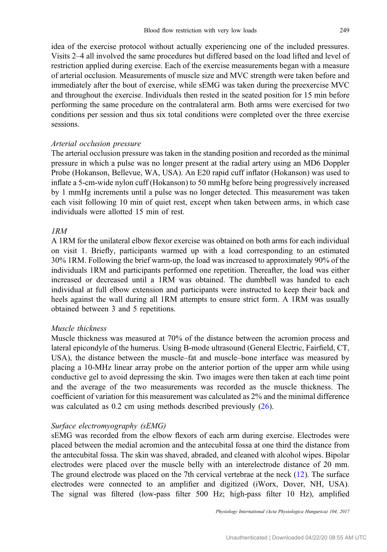idea of the exercise protocol without actually experiencing one of the included pressures. Visits 2–4 all involved the same procedures but differed based on the load lifted and level of restriction applied during exercise. Each of the exercise measurements began with a measure of arterial occlusion. Measurements of muscle size and MVC strength were taken before and immediately after the bout of exercise, while sEMG was taken during the preexercise MVC and throughout the exercise. Individuals then rested in the seated position for 15 min before performing the same procedure on the contralateral arm. Both arms were exercised for two conditions per session and thus six total conditions were completed over the three exercise sessions.

#### Arterial occlusion pressure

The arterial occlusion pressure was taken in the standing position and recorded as the minimal pressure in which a pulse was no longer present at the radial artery using an MD6 Doppler Probe (Hokanson, Bellevue, WA, USA). An E20 rapid cuff inflator (Hokanson) was used to inflate a 5-cm-wide nylon cuff (Hokanson) to 50 mmHg before being progressively increased by 1 mmHg increments until a pulse was no longer detected. This measurement was taken each visit following 10 min of quiet rest, except when taken between arms, in which case individuals were allotted 15 min of rest.

# 1RM

A 1RM for the unilateral elbow flexor exercise was obtained on both arms for each individual on visit 1. Briefly, participants warmed up with a load corresponding to an estimated 30% 1RM. Following the brief warm-up, the load was increased to approximately 90% of the individuals 1RM and participants performed one repetition. Thereafter, the load was either increased or decreased until a 1RM was obtained. The dumbbell was handed to each individual at full elbow extension and participants were instructed to keep their back and heels against the wall during all 1RM attempts to ensure strict form. A 1RM was usually obtained between 3 and 5 repetitions.

#### Muscle thickness

Muscle thickness was measured at 70% of the distance between the acromion process and lateral epicondyle of the humerus. Using B-mode ultrasound (General Electric, Fairfield, CT, USA), the distance between the muscle–fat and muscle–bone interface was measured by placing a 10-MHz linear array probe on the anterior portion of the upper arm while using conductive gel to avoid depressing the skin. Two images were then taken at each time point and the average of the two measurements was recorded as the muscle thickness. The coefficient of variation for this measurement was calculated as 2% and the minimal difference was calculated as 0.2 cm using methods described previously [\(26](#page-9-0)).

#### Surface electromyography (sEMG)

sEMG was recorded from the elbow flexors of each arm during exercise. Electrodes were placed between the medial acromion and the antecubital fossa at one third the distance from the antecubital fossa. The skin was shaved, abraded, and cleaned with alcohol wipes. Bipolar electrodes were placed over the muscle belly with an interelectrode distance of 20 mm. The ground electrode was placed on the 7th cervical vertebrae at the neck ([12\)](#page-9-0). The surface electrodes were connected to an amplifier and digitized (iWorx, Dover, NH, USA). The signal was filtered (low-pass filter 500 Hz; high-pass filter 10 Hz), amplified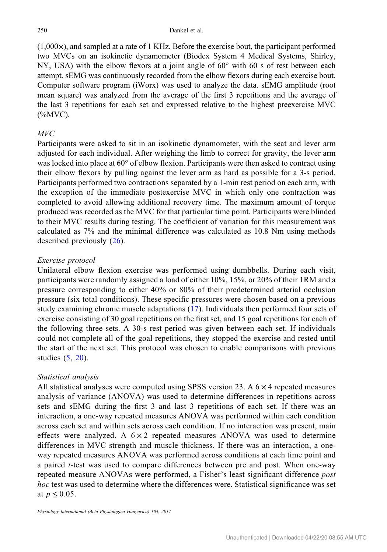(1,000×), and sampled at a rate of 1 KHz. Before the exercise bout, the participant performed two MVCs on an isokinetic dynamometer (Biodex System 4 Medical Systems, Shirley, NY, USA) with the elbow flexors at a joint angle of 60° with 60 s of rest between each attempt. sEMG was continuously recorded from the elbow flexors during each exercise bout. Computer software program (iWorx) was used to analyze the data. sEMG amplitude (root mean square) was analyzed from the average of the first 3 repetitions and the average of the last 3 repetitions for each set and expressed relative to the highest preexercise MVC (%MVC).

# MVC

Participants were asked to sit in an isokinetic dynamometer, with the seat and lever arm adjusted for each individual. After weighing the limb to correct for gravity, the lever arm was locked into place at 60° of elbow flexion. Participants were then asked to contract using their elbow flexors by pulling against the lever arm as hard as possible for a 3-s period. Participants performed two contractions separated by a 1-min rest period on each arm, with the exception of the immediate postexercise MVC in which only one contraction was completed to avoid allowing additional recovery time. The maximum amount of torque produced was recorded as the MVC for that particular time point. Participants were blinded to their MVC results during testing. The coefficient of variation for this measurement was calculated as 7% and the minimal difference was calculated as 10.8 Nm using methods described previously ([26](#page-9-0)).

# Exercise protocol

Unilateral elbow flexion exercise was performed using dumbbells. During each visit, participants were randomly assigned a load of either 10%, 15%, or 20% of their 1RM and a pressure corresponding to either 40% or 80% of their predetermined arterial occlusion pressure (six total conditions). These specific pressures were chosen based on a previous study examining chronic muscle adaptations ([17](#page-9-0)). Individuals then performed four sets of exercise consisting of 30 goal repetitions on the first set, and 15 goal repetitions for each of the following three sets. A 30-s rest period was given between each set. If individuals could not complete all of the goal repetitions, they stopped the exercise and rested until the start of the next set. This protocol was chosen to enable comparisons with previous studies [\(5,](#page-9-0) [20](#page-9-0)).

# Statistical analysis

All statistical analyses were computed using SPSS version 23. A  $6 \times 4$  repeated measures analysis of variance (ANOVA) was used to determine differences in repetitions across sets and sEMG during the first 3 and last 3 repetitions of each set. If there was an interaction, a one-way repeated measures ANOVA was performed within each condition across each set and within sets across each condition. If no interaction was present, main effects were analyzed. A  $6 \times 2$  repeated measures ANOVA was used to determine differences in MVC strength and muscle thickness. If there was an interaction, a oneway repeated measures ANOVA was performed across conditions at each time point and a paired t-test was used to compare differences between pre and post. When one-way repeated measure ANOVAs were performed, a Fisher's least significant difference post hoc test was used to determine where the differences were. Statistical significance was set at  $p \leq 0.05$ .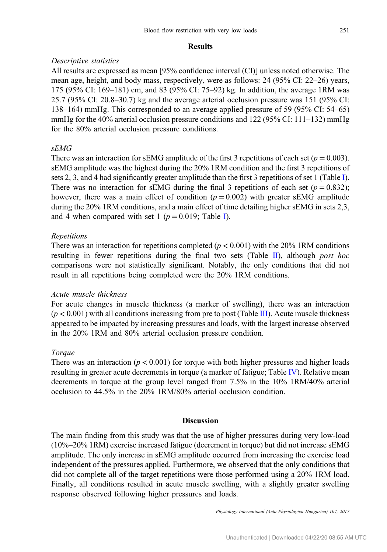## Results

## Descriptive statistics

All results are expressed as mean [95% confidence interval (CI)] unless noted otherwise. The mean age, height, and body mass, respectively, were as follows: 24 (95% CI: 22–26) years, 175 (95% CI: 169–181) cm, and 83 (95% CI: 75–92) kg. In addition, the average 1RM was 25.7 (95% CI: 20.8–30.7) kg and the average arterial occlusion pressure was 151 (95% CI: 138–164) mmHg. This corresponded to an average applied pressure of 59 (95% CI: 54–65) mmHg for the 40% arterial occlusion pressure conditions and 122 (95% CI: 111–132) mmHg for the 80% arterial occlusion pressure conditions.

# sEMG

There was an interaction for sEMG amplitude of the first 3 repetitions of each set ( $p = 0.003$ ). sEMG amplitude was the highest during the 20% 1RM condition and the first 3 repetitions of sets 2, 3, and 4 had significantly greater amplitude than the first 3 repetitions of set 1 (Table [I](#page-5-0)). There was no interaction for sEMG during the final 3 repetitions of each set ( $p = 0.832$ ); however, there was a main effect of condition  $(p = 0.002)$  with greater sEMG amplitude during the 20% 1RM conditions, and a main effect of time detailing higher sEMG in sets 2,3, and 4 when compared with set 1 ( $p = 0.019$ ; Table [I](#page-5-0)).

# Repetitions

There was an interaction for repetitions completed ( $p < 0.001$ ) with the 20% 1RM conditions resulting in fewer repetitions during the final two sets (Table [II\)](#page-6-0), although post hoc comparisons were not statistically significant. Notably, the only conditions that did not result in all repetitions being completed were the 20% 1RM conditions.

## Acute muscle thickness

For acute changes in muscle thickness (a marker of swelling), there was an interaction  $(p < 0.001)$  with all conditions increasing from pre to post (Table [III](#page-6-0)). Acute muscle thickness appeared to be impacted by increasing pressures and loads, with the largest increase observed in the 20% 1RM and 80% arterial occlusion pressure condition.

# Torque

There was an interaction ( $p < 0.001$ ) for torque with both higher pressures and higher loads resulting in greater acute decrements in torque (a marker of fatigue; Table [IV](#page-6-0)). Relative mean decrements in torque at the group level ranged from 7.5% in the 10% 1RM/40% arterial occlusion to 44.5% in the 20% 1RM/80% arterial occlusion condition.

# Discussion

The main finding from this study was that the use of higher pressures during very low-load (10%–20% 1RM) exercise increased fatigue (decrement in torque) but did not increase sEMG amplitude. The only increase in sEMG amplitude occurred from increasing the exercise load independent of the pressures applied. Furthermore, we observed that the only conditions that did not complete all of the target repetitions were those performed using a 20% 1RM load. Finally, all conditions resulted in acute muscle swelling, with a slightly greater swelling response observed following higher pressures and loads.

Physiology International (Acta Physiologica Hungarica) 104, 2017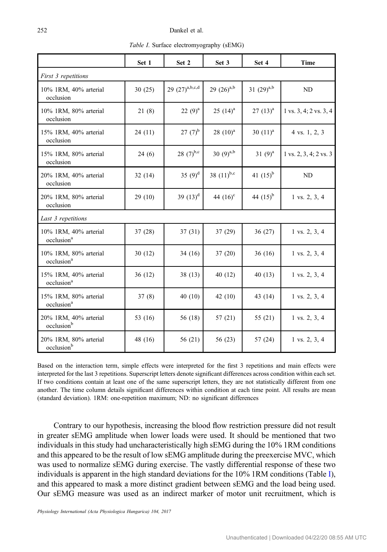Table I. Surface electromyography (sEMG)

<span id="page-5-0"></span>

|                                                 | Set 1   | Set 2               | Set 3           | Set 4           | Time                                       |  |  |
|-------------------------------------------------|---------|---------------------|-----------------|-----------------|--------------------------------------------|--|--|
| First 3 repetitions                             |         |                     |                 |                 |                                            |  |  |
| 10% 1RM, 40% arterial<br>occlusion              | 30(25)  | 29 $(27)^{a,b,c,d}$ | $29(26)^{a,b}$  | 31 $(29)^{a,b}$ | <b>ND</b>                                  |  |  |
| 10% 1RM, 80% arterial<br>occlusion              | 21(8)   | $22 (9)^a$          | $25 (14)^a$     | $27 (13)^a$     | $1 \text{ vs. } 3, 4; 2 \text{ vs. } 3, 4$ |  |  |
| 15% 1RM, 40% arterial<br>occlusion              | 24(11)  | $27 (7)^{b}$        | $28(10)^a$      | 30 $(11)^a$     | 4 vs. 1, 2, 3                              |  |  |
| 15% 1RM, 80% arterial<br>occlusion              | 24(6)   | 28 $(7)^{b,c}$      | 30 $(9)^{a,b}$  | $31(9)^a$       | $1 \text{ vs. } 2, 3, 4; 2 \text{ vs. } 3$ |  |  |
| 20% 1RM, 40% arterial<br>occlusion              | 32(14)  | 35 $(9)^d$          | 38 $(11)^{b,c}$ | 41 $(15)^{b}$   | <b>ND</b>                                  |  |  |
| 20% 1RM, 80% arterial<br>occlusion              | 29(10)  | 39 $(13)^d$         | 44 $(16)^c$     | 44 $(15)^{b}$   | $1 \text{ vs. } 2, 3, 4$                   |  |  |
| Last 3 repetitions                              |         |                     |                 |                 |                                            |  |  |
| 10% 1RM, 40% arterial<br>occlusion <sup>a</sup> | 37(28)  | 37(31)              | 37(29)          | 36(27)          | $1 \text{ vs. } 2, 3, 4$                   |  |  |
| 10% 1RM, 80% arterial<br>occlusion <sup>a</sup> | 30(12)  | 34(16)              | 37(20)          | 36(16)          | $1 \text{ vs. } 2, 3, 4$                   |  |  |
| 15% 1RM, 40% arterial<br>occlusion <sup>a</sup> | 36(12)  | 38(13)              | 40(12)          | 40(13)          | $1 \text{ vs. } 2, 3, 4$                   |  |  |
| 15% 1RM, 80% arterial<br>occlusion <sup>a</sup> | 37(8)   | 40(10)              | 42 (10)         | 43 (14)         | $1 \text{ vs. } 2, 3, 4$                   |  |  |
| 20% 1RM, 40% arterial<br>occlusion <sup>b</sup> | 53 (16) | 56 (18)             | 57(21)          | 55 (21)         | $1 \text{ vs. } 2, 3, 4$                   |  |  |
| 20% 1RM, 80% arterial<br>occlusionb             | 48 (16) | 56 $(21)$           | 56(23)          | 57 (24)         | $1 \text{ vs. } 2, 3, 4$                   |  |  |

Based on the interaction term, simple effects were interpreted for the first 3 repetitions and main effects were interpreted for the last 3 repetitions. Superscript letters denote significant differences across condition within each set. If two conditions contain at least one of the same superscript letters, they are not statistically different from one another. The time column details significant differences within condition at each time point. All results are mean (standard deviation). 1RM: one-repetition maximum; ND: no significant differences

Contrary to our hypothesis, increasing the blood flow restriction pressure did not result in greater sEMG amplitude when lower loads were used. It should be mentioned that two individuals in this study had uncharacteristically high sEMG during the 10% 1RM conditions and this appeared to be the result of low sEMG amplitude during the preexercise MVC, which was used to normalize sEMG during exercise. The vastly differential response of these two individuals is apparent in the high standard deviations for the 10% 1RM conditions (Table I), and this appeared to mask a more distinct gradient between sEMG and the load being used. Our sEMG measure was used as an indirect marker of motor unit recruitment, which is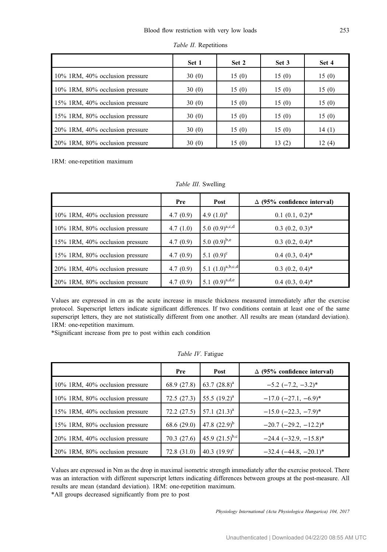<span id="page-6-0"></span>

|                                 | Set 1 | Set 2  | Set 3 | Set 4 |
|---------------------------------|-------|--------|-------|-------|
| 10% 1RM, 40% occlusion pressure | 30(0) | 15(0)  | 15(0) | 15(0) |
| 10% 1RM, 80% occlusion pressure | 30(0) | 15(0)  | 15(0) | 15(0) |
| 15% 1RM, 40% occlusion pressure | 30(0) | 15(0)  | 15(0) | 15(0) |
| 15% 1RM, 80% occlusion pressure | 30(0) | 15(0)  | 15(0) | 15(0) |
| 20% 1RM, 40% occlusion pressure | 30(0) | 15(0)  | 15(0) | 14(1) |
| 20% 1RM, 80% occlusion pressure | 30(0) | 15 (0) | 13(2) | 12(4) |

Table II. Repetitions

1RM: one-repetition maximum

|                                 | Pre         | <b>Post</b>           | $\Delta$ (95% confidence interval) |
|---------------------------------|-------------|-----------------------|------------------------------------|
| 10% 1RM, 40% occlusion pressure | 4.7(0.9)    | 4.9 $(1.0)^a$         | $0.1$ $(0.1, 0.2)^*$               |
| 10% 1RM, 80% occlusion pressure | 4.7 $(1.0)$ | 5.0 $(0.9)^{a,c,d}$   | $0.3(0.2, 0.3)^*$                  |
| 15% 1RM, 40% occlusion pressure | 4.7(0.9)    | 5.0 $(0.9)^{b,e}$     | $0.3(0.2, 0.4)^*$                  |
| 15% 1RM, 80% occlusion pressure | 4.7(0.9)    | 5.1 $(0.9)^{\circ}$   | $0.4(0.3, 0.4)^*$                  |
| 20% 1RM, 40% occlusion pressure | 4.7(0.9)    | 5.1 $(1.0)^{a,b,c,d}$ | $0.3$ $(0.2, 0.4)^*$               |
| 20% 1RM, 80% occlusion pressure | 4.7(0.9)    | 5.1 $(0.9)^{a,d,e}$   | $0.4(0.3, 0.4)^*$                  |

Table III. Swelling

Values are expressed in cm as the acute increase in muscle thickness measured immediately after the exercise protocol. Superscript letters indicate significant differences. If two conditions contain at least one of the same superscript letters, they are not statistically different from one another. All results are mean (standard deviation). 1RM: one-repetition maximum.

\*Significant increase from pre to post within each condition

|                                 | Pre         | Post                  | $\Delta$ (95% confidence interval) |
|---------------------------------|-------------|-----------------------|------------------------------------|
| 10% 1RM, 40% occlusion pressure | 68.9 (27.8) | 63.7 $(28.8)^a$       | $-5.2$ $(-7.2, -3.2)^*$            |
| 10% 1RM, 80% occlusion pressure | 72.5 (27.3) | 55.5 $(19.2)^{a}$     | $-17.0$ $(-27.1, -6.9)^*$          |
| 15% 1RM, 40% occlusion pressure | 72.2 (27.5) | 57.1 $(21.3)^a$       | $-15.0$ $(-22.3, -7.9)^*$          |
| 15% 1RM, 80% occlusion pressure | 68.6(29.0)  | 47.8 $(22.9)^{b}$     | $-20.7$ $(-29.2, -12.2)^*$         |
| 20% 1RM, 40% occlusion pressure | 70.3 (27.6) | 45.9 $(21.5)^{b,c}$   | $-24.4$ $(-32.9, -15.8)^*$         |
| 20% 1RM, 80% occlusion pressure | 72.8 (31.0) | 40.3 $(19.9)^{\circ}$ | $-32.4$ $(-44.8, -20.1)^*$         |

Values are expressed in Nm as the drop in maximal isometric strength immediately after the exercise protocol. There was an interaction with different superscript letters indicating differences between groups at the post-measure. All results are mean (standard deviation). 1RM: one-repetition maximum.

\*All groups decreased significantly from pre to post

Physiology International (Acta Physiologica Hungarica) 104, 2017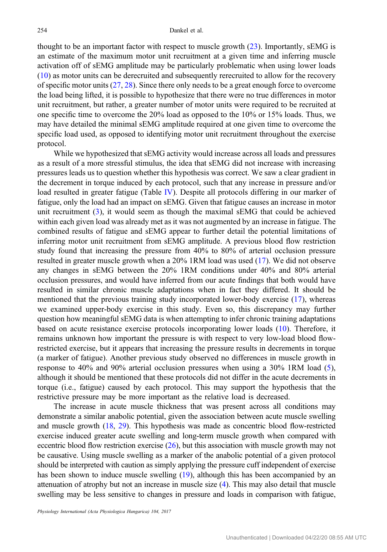thought to be an important factor with respect to muscle growth [\(23](#page-9-0)). Importantly, sEMG is an estimate of the maximum motor unit recruitment at a given time and inferring muscle activation off of sEMG amplitude may be particularly problematic when using lower loads [\(10](#page-9-0)) as motor units can be derecruited and subsequently rerecruited to allow for the recovery of specific motor units  $(27, 28)$  $(27, 28)$  $(27, 28)$  $(27, 28)$  $(27, 28)$ . Since there only needs to be a great enough force to overcome the load being lifted, it is possible to hypothesize that there were no true differences in motor unit recruitment, but rather, a greater number of motor units were required to be recruited at one specific time to overcome the 20% load as opposed to the 10% or 15% loads. Thus, we may have detailed the minimal sEMG amplitude required at one given time to overcome the specific load used, as opposed to identifying motor unit recruitment throughout the exercise protocol.

While we hypothesized that sEMG activity would increase across all loads and pressures as a result of a more stressful stimulus, the idea that sEMG did not increase with increasing pressures leads us to question whether this hypothesis was correct. We saw a clear gradient in the decrement in torque induced by each protocol, such that any increase in pressure and/or load resulted in greater fatigue (Table [IV\)](#page-6-0). Despite all protocols differing in our marker of fatigue, only the load had an impact on sEMG. Given that fatigue causes an increase in motor unit recruitment [\(3](#page-9-0)), it would seem as though the maximal sEMG that could be achieved within each given load was already met as it was not augmented by an increase in fatigue. The combined results of fatigue and sEMG appear to further detail the potential limitations of inferring motor unit recruitment from sEMG amplitude. A previous blood flow restriction study found that increasing the pressure from 40% to 80% of arterial occlusion pressure resulted in greater muscle growth when a 20% 1RM load was used [\(17](#page-9-0)). We did not observe any changes in sEMG between the 20% 1RM conditions under 40% and 80% arterial occlusion pressures, and would have inferred from our acute findings that both would have resulted in similar chronic muscle adaptations when in fact they differed. It should be mentioned that the previous training study incorporated lower-body exercise ([17\)](#page-9-0), whereas we examined upper-body exercise in this study. Even so, this discrepancy may further question how meaningful sEMG data is when attempting to infer chronic training adaptations based on acute resistance exercise protocols incorporating lower loads ([10\)](#page-9-0). Therefore, it remains unknown how important the pressure is with respect to very low-load blood flowrestricted exercise, but it appears that increasing the pressure results in decrements in torque (a marker of fatigue). Another previous study observed no differences in muscle growth in response to 40% and 90% arterial occlusion pressures when using a 30% 1RM load [\(5](#page-9-0)), although it should be mentioned that these protocols did not differ in the acute decrements in torque (i.e., fatigue) caused by each protocol. This may support the hypothesis that the restrictive pressure may be more important as the relative load is decreased.

The increase in acute muscle thickness that was present across all conditions may demonstrate a similar anabolic potential, given the association between acute muscle swelling and muscle growth ([18](#page-9-0), [29](#page-10-0)). This hypothesis was made as concentric blood flow-restricted exercise induced greater acute swelling and long-term muscle growth when compared with eccentric blood flow restriction exercise ([26](#page-9-0)), but this association with muscle growth may not be causative. Using muscle swelling as a marker of the anabolic potential of a given protocol should be interpreted with caution as simply applying the pressure cuff independent of exercise has been shown to induce muscle swelling ([19\)](#page-9-0), although this has been accompanied by an attenuation of atrophy but not an increase in muscle size [\(4\)](#page-9-0). This may also detail that muscle swelling may be less sensitive to changes in pressure and loads in comparison with fatigue,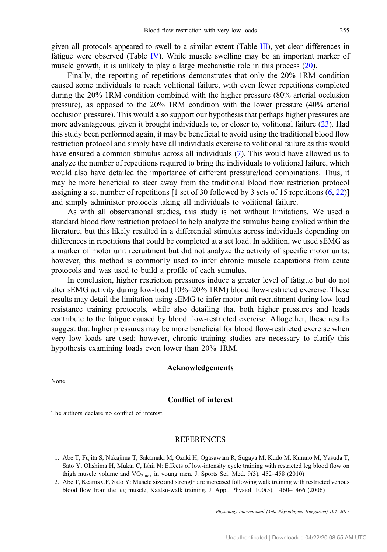<span id="page-8-0"></span>given all protocols appeared to swell to a similar extent (Table [III](#page-6-0)), yet clear differences in fatigue were observed (Table [IV](#page-6-0)). While muscle swelling may be an important marker of muscle growth, it is unlikely to play a large mechanistic role in this process [\(20\)](#page-9-0).

Finally, the reporting of repetitions demonstrates that only the 20% 1RM condition caused some individuals to reach volitional failure, with even fewer repetitions completed during the 20% 1RM condition combined with the higher pressure (80% arterial occlusion pressure), as opposed to the 20% 1RM condition with the lower pressure (40% arterial occlusion pressure). This would also support our hypothesis that perhaps higher pressures are more advantageous, given it brought individuals to, or closer to, volitional failure ([23\)](#page-9-0). Had this study been performed again, it may be beneficial to avoid using the traditional blood flow restriction protocol and simply have all individuals exercise to volitional failure as this would have ensured a common stimulus across all individuals ([7\)](#page-9-0). This would have allowed us to analyze the number of repetitions required to bring the individuals to volitional failure, which would also have detailed the importance of different pressure/load combinations. Thus, it may be more beneficial to steer away from the traditional blood flow restriction protocol assigning a set number of repetitions [1 set of 30 followed by 3 sets of 15 repetitions ([6,](#page-9-0) [22\)](#page-9-0)] and simply administer protocols taking all individuals to volitional failure.

As with all observational studies, this study is not without limitations. We used a standard blood flow restriction protocol to help analyze the stimulus being applied within the literature, but this likely resulted in a differential stimulus across individuals depending on differences in repetitions that could be completed at a set load. In addition, we used sEMG as a marker of motor unit recruitment but did not analyze the activity of specific motor units; however, this method is commonly used to infer chronic muscle adaptations from acute protocols and was used to build a profile of each stimulus.

In conclusion, higher restriction pressures induce a greater level of fatigue but do not alter sEMG activity during low-load (10%–20% 1RM) blood flow-restricted exercise. These results may detail the limitation using sEMG to infer motor unit recruitment during low-load resistance training protocols, while also detailing that both higher pressures and loads contribute to the fatigue caused by blood flow-restricted exercise. Altogether, these results suggest that higher pressures may be more beneficial for blood flow-restricted exercise when very low loads are used; however, chronic training studies are necessary to clarify this hypothesis examining loads even lower than 20% 1RM.

#### Acknowledgements

None.

## Conflict of interest

The authors declare no conflict of interest.

#### REFERENCES

- 1. Abe T, Fujita S, Nakajima T, Sakamaki M, Ozaki H, Ogasawara R, Sugaya M, Kudo M, Kurano M, Yasuda T, Sato Y, Ohshima H, Mukai C, Ishii N: Effects of low-intensity cycle training with restricted leg blood flow on thigh muscle volume and  $VO_{2max}$  in young men. J. Sports Sci. Med. 9(3), 452–458 (2010)
- 2. Abe T, Kearns CF, Sato Y: Muscle size and strength are increased following walk training with restricted venous blood flow from the leg muscle, Kaatsu-walk training. J. Appl. Physiol. 100(5), 1460–1466 (2006)

Physiology International (Acta Physiologica Hungarica) 104, 2017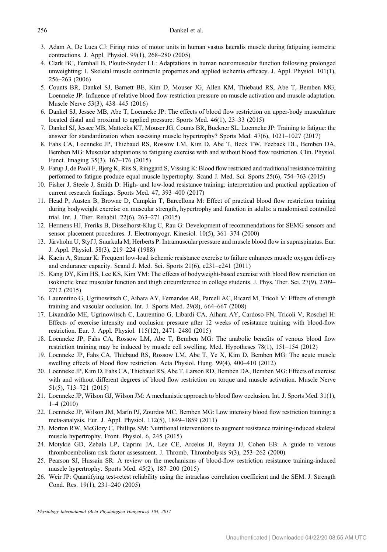- <span id="page-9-0"></span>3. Adam A, De Luca CJ: Firing rates of motor units in human vastus lateralis muscle during fatiguing isometric contractions. J. Appl. Physiol. 99(1), 268–280 (2005)
- 4. Clark BC, Fernhall B, Ploutz-Snyder LL: Adaptations in human neuromuscular function following prolonged unweighting: I. Skeletal muscle contractile properties and applied ischemia efficacy. J. Appl. Physiol. 101(1), 256–263 (2006)
- 5. Counts BR, Dankel SJ, Barnett BE, Kim D, Mouser JG, Allen KM, Thiebaud RS, Abe T, Bemben MG, Loenneke JP: Influence of relative blood flow restriction pressure on muscle activation and muscle adaptation. Muscle Nerve 53(3), 438–445 (2016)
- 6. Dankel SJ, Jessee MB, Abe T, Loenneke JP: The effects of blood flow restriction on upper-body musculature located distal and proximal to applied pressure. Sports Med. 46(1), 23–33 (2015)
- 7. Dankel SJ, Jessee MB, Mattocks KT, Mouser JG, Counts BR, Buckner SL, Loenneke JP: Training to fatigue: the answer for standardization when assessing muscle hypertrophy? Sports Med. 47(6), 1021–1027 (2017)
- 8. Fahs CA, Loenneke JP, Thiebaud RS, Rossow LM, Kim D, Abe T, Beck TW, Feeback DL, Bemben DA, Bemben MG: Muscular adaptations to fatiguing exercise with and without blood flow restriction. Clin. Physiol. Funct. Imaging 35(3), 167–176 (2015)
- 9. Farup J, de Paoli F, Bjerg K, Riis S, Ringgard S, Vissing K: Blood flow restricted and traditional resistance training performed to fatigue produce equal muscle hypertrophy. Scand J. Med. Sci. Sports 25(6), 754–763 (2015)
- 10. Fisher J, Steele J, Smith D: High- and low-load resistance training: interpretation and practical application of current research findings. Sports Med. 47, 393–400 (2017)
- 11. Head P, Austen B, Browne D, Campkin T, Barcellona M: Effect of practical blood flow restriction training during bodyweight exercise on muscular strength, hypertrophy and function in adults: a randomised controlled trial. Int. J. Ther. Rehabil. 22(6), 263–271 (2015)
- 12. Hermens HJ, Freriks B, Disselhorst-Klug C, Rau G: Development of recommendations for SEMG sensors and sensor placement procedures. J. Electromyogr. Kinesiol. 10(5), 361–374 (2000)
- 13. Järvholm U, Styf J, Suurkula M, Herberts P: Intramuscular pressure and muscle blood flow in supraspinatus. Eur. J. Appl. Physiol. 58(3), 219–224 (1988)
- 14. Kacin A, Strazar K: Frequent low-load ischemic resistance exercise to failure enhances muscle oxygen delivery and endurance capacity. Scand J. Med. Sci. Sports 21(6), e231–e241 (2011)
- 15. Kang DY, Kim HS, Lee KS, Kim YM: The effects of bodyweight-based exercise with blood flow restriction on isokinetic knee muscular function and thigh circumference in college students. J. Phys. Ther. Sci. 27(9), 2709– 2712 (2015)
- 16. Laurentino G, Ugrinowitsch C, Aihara AY, Fernandes AR, Parcell AC, Ricard M, Tricoli V: Effects of strength training and vascular occlusion. Int. J. Sports Med. 29(8), 664–667 (2008)
- 17. Lixandrão ME, Ugrinowitsch C, Laurentino G, Libardi CA, Aihara AY, Cardoso FN, Tricoli V, Roschel H: Effects of exercise intensity and occlusion pressure after 12 weeks of resistance training with blood-flow restriction. Eur. J. Appl. Physiol. 115(12), 2471–2480 (2015)
- 18. Loenneke JP, Fahs CA, Rossow LM, Abe T, Bemben MG: The anabolic benefits of venous blood flow restriction training may be induced by muscle cell swelling. Med. Hypotheses 78(1), 151–154 (2012)
- 19. Loenneke JP, Fahs CA, Thiebaud RS, Rossow LM, Abe T, Ye X, Kim D, Bemben MG: The acute muscle swelling effects of blood flow restriction. Acta Physiol. Hung. 99(4), 400–410 (2012)
- 20. Loenneke JP, Kim D, Fahs CA, Thiebaud RS, Abe T, Larson RD, Bemben DA, Bemben MG: Effects of exercise with and without different degrees of blood flow restriction on torque and muscle activation. Muscle Nerve 51(5), 713–721 (2015)
- 21. Loenneke JP, Wilson GJ, Wilson JM: A mechanistic approach to blood flow occlusion. Int. J. Sports Med. 31(1), 1–4 (2010)
- 22. Loenneke JP, Wilson JM, Marín PJ, Zourdos MC, Bemben MG: Low intensity blood flow restriction training: a meta-analysis. Eur. J. Appl. Physiol. 112(5), 1849–1859 (2011)
- 23. Morton RW, McGlory C, Phillips SM: Nutritional interventions to augment resistance training-induced skeletal muscle hypertrophy. Front. Physiol. 6, 245 (2015)
- 24. Motykie GD, Zebala LP, Caprini JA, Lee CE, Arcelus JI, Reyna JJ, Cohen EB: A guide to venous thromboembolism risk factor assessment. J. Thromb. Thrombolysis 9(3), 253–262 (2000)
- 25. Pearson SJ, Hussain SR: A review on the mechanisms of blood-flow restriction resistance training-induced muscle hypertrophy. Sports Med. 45(2), 187–200 (2015)
- 26. Weir JP: Quantifying test-retest reliability using the intraclass correlation coefficient and the SEM. J. Strength Cond. Res. 19(1), 231–240 (2005)